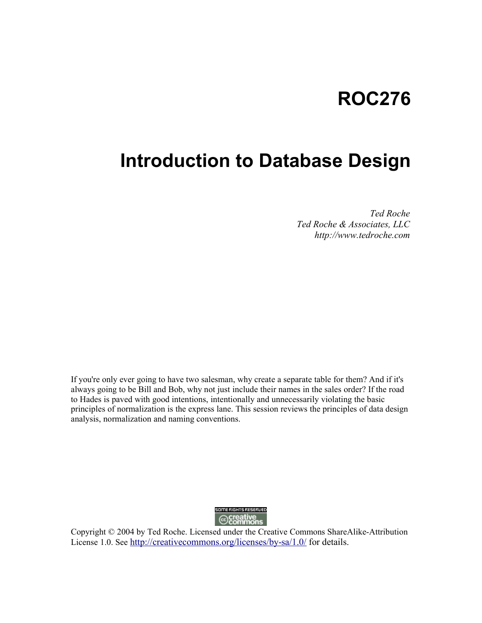# **ROC276**

# **Introduction to Database Design**

*Ted Roche Ted Roche & Associates, LLC http://www.tedroche.com*

If you're only ever going to have two salesman, why create a separate table for them? And if it's always going to be Bill and Bob, why not just include their names in the sales order? If the road to Hades is paved with good intentions, intentionally and unnecessarily violating the basic principles of normalization is the express lane. This session reviews the principles of data design analysis, normalization and naming conventions.



Copyright © 2004 by Ted Roche. Licensed under the Creative Commons ShareAlike-Attribution License 1.0. See http://creativecommons.org/licenses/by-sa/1.0/ for details.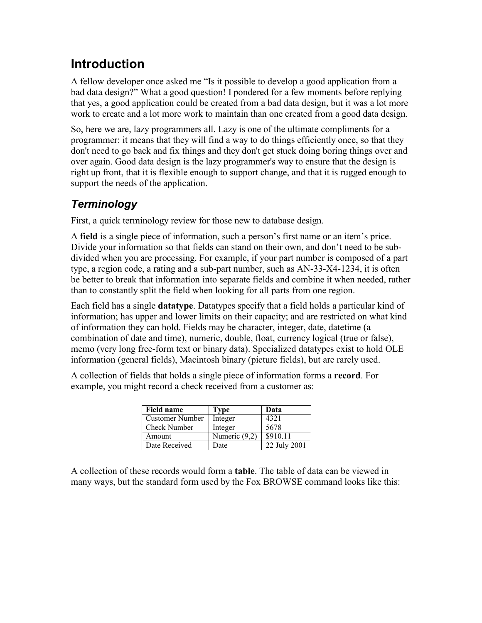## **Introduction**

A fellow developer once asked me "Is it possible to develop a good application from a bad data design?" What a good question! I pondered for a few moments before replying that yes, a good application could be created from a bad data design, but it was a lot more work to create and a lot more work to maintain than one created from a good data design.

So, here we are, lazy programmers all. Lazy is one of the ultimate compliments for a programmer: it means that they will find a way to do things efficiently once, so that they don't need to go back and fix things and they don't get stuck doing boring things over and over again. Good data design is the lazy programmer's way to ensure that the design is right up front, that it is flexible enough to support change, and that it is rugged enough to support the needs of the application.

### *Terminology*

First, a quick terminology review for those new to database design.

A **field** is a single piece of information, such a person's first name or an item's price. Divide your information so that fields can stand on their own, and don't need to be subdivided when you are processing. For example, if your part number is composed of a part type, a region code, a rating and a sub-part number, such as AN-33-X4-1234, it is often be better to break that information into separate fields and combine it when needed, rather than to constantly split the field when looking for all parts from one region.

Each field has a single **datatype**. Datatypes specify that a field holds a particular kind of information; has upper and lower limits on their capacity; and are restricted on what kind of information they can hold. Fields may be character, integer, date, datetime (a combination of date and time), numeric, double, float, currency logical (true or false), memo (very long free-form text or binary data). Specialized datatypes exist to hold OLE information (general fields), Macintosh binary (picture fields), but are rarely used.

A collection of fields that holds a single piece of information forms a **record**. For example, you might record a check received from a customer as:

| <b>Field name</b>      | Type            | Data         |
|------------------------|-----------------|--------------|
| <b>Customer Number</b> | Integer         | 4321         |
| <b>Check Number</b>    | Integer         | 5678         |
| Amount                 | Numeric $(9,2)$ | \$910.11     |
| Date Received          | Date            | 22 July 2001 |

A collection of these records would form a **table**. The table of data can be viewed in many ways, but the standard form used by the Fox BROWSE command looks like this: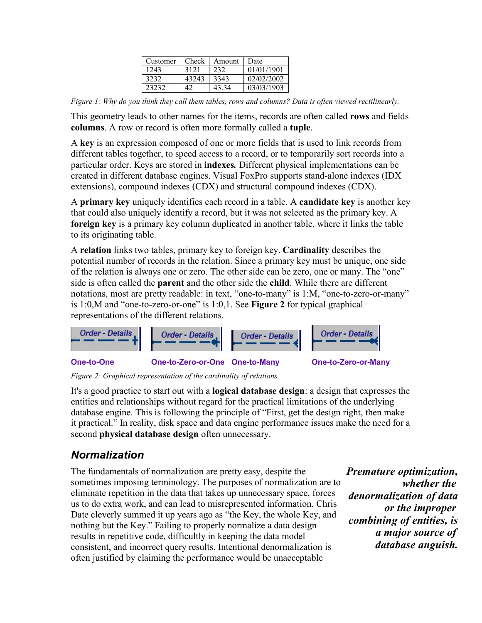| Customer | Check | Amount | Date       |
|----------|-------|--------|------------|
| 1243     | 3121  | 232    | 01/01/1901 |
| 3232     | 43243 | 3343   | 02/02/2002 |
| 23232    | 42    | 43.34  | 03/03/1903 |

*Figure 1: Why do you think they call them tables, rows and columns? Data is often viewed rectilinearly.*

This geometry leads to other names for the items, records are often called **rows** and fields **columns**. A row or record is often more formally called a **tuple**.

A **key** is an expression composed of one or more fields that is used to link records from different tables together, to speed access to a record, or to temporarily sort records into a particular order. Keys are stored in **indexes***.* Different physical implementations can be created in different database engines. Visual FoxPro supports stand-alone indexes (IDX extensions), compound indexes (CDX) and structural compound indexes (CDX).

A **primary key** uniquely identifies each record in a table. A **candidate key** is another key that could also uniquely identify a record, but it was not selected as the primary key. A **foreign key** is a primary key column duplicated in another table, where it links the table to its originating table.

A **relation** links two tables, primary key to foreign key. **Cardinality** describes the potential number of records in the relation. Since a primary key must be unique, one side of the relation is always one or zero. The other side can be zero, one or many. The "one" side is often called the **parent** and the other side the **child**. While there are different notations, most are pretty readable: in text, "one-to-many" is 1:M, "one-to-zero-or-many" is 1:0,M and "one-to-zero-or-one" is 1:0,1. See **Figure 2** for typical graphical representations of the different relations.



*Figure 2: Graphical representation of the cardinality of relations.*

It's a good practice to start out with a **logical database design**: a design that expresses the entities and relationships without regard for the practical limitations of the underlying database engine. This is following the principle of "First, get the design right, then make it practical." In reality, disk space and data engine performance issues make the need for a second **physical database design** often unnecessary.

#### *Normalization*

The fundamentals of normalization are pretty easy, despite the sometimes imposing terminology. The purposes of normalization are to eliminate repetition in the data that takes up unnecessary space, forces us to do extra work, and can lead to misrepresented information. Chris Date cleverly summed it up years ago as "the Key, the whole Key, and nothing but the Key." Failing to properly normalize a data design results in repetitive code, difficultly in keeping the data model consistent, and incorrect query results. Intentional denormalization is often justified by claiming the performance would be unacceptable

*Premature optimization, whether the denormalization of data or the improper combining of entities, is a major source of database anguish.*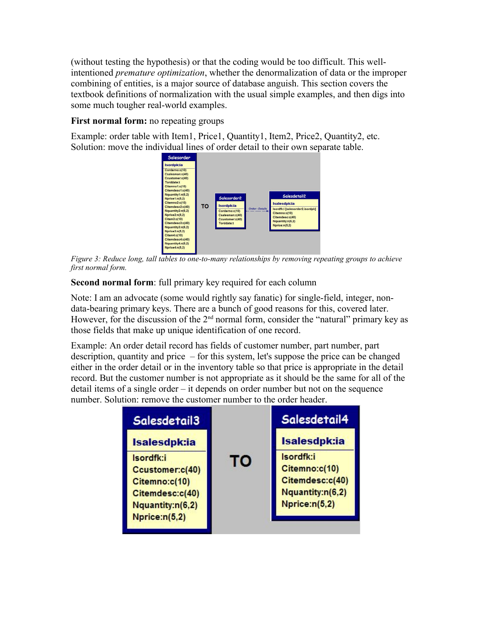(without testing the hypothesis) or that the coding would be too difficult. This wellintentioned *premature optimization*, whether the denormalization of data or the improper combining of entities, is a major source of database anguish. This section covers the textbook definitions of normalization with the usual simple examples, and then digs into some much tougher real-world examples.

#### **First normal form:** no repeating groups

Example: order table with Item1, Price1, Quantity1, Item2, Price2, Quantity2, etc. Solution: move the individual lines of order detail to their own separate table.



*Figure 3: Reduce long, tall tables to one-to-many relationships by removing repeating groups to achieve first normal form.*

**Second normal form**: full primary key required for each column

Note: I am an advocate (some would rightly say fanatic) for single-field, integer, nondata-bearing primary keys. There are a bunch of good reasons for this, covered later. However, for the discussion of the  $2<sup>nd</sup>$  normal form, consider the "natural" primary key as those fields that make up unique identification of one record.

Example: An order detail record has fields of customer number, part number, part description, quantity and price – for this system, let's suppose the price can be changed either in the order detail or in the inventory table so that price is appropriate in the detail record. But the customer number is not appropriate as it should be the same for all of the detail items of a single order – it depends on order number but not on the sequence number. Solution: remove the customer number to the order header.

| Salesdetail3                                                                                          |    | Salesdetail4                                                                       |
|-------------------------------------------------------------------------------------------------------|----|------------------------------------------------------------------------------------|
| Isalesdpk:ia                                                                                          |    | Isalesdpk:ia                                                                       |
| Isordfk:i<br>Ccustomer:c(40)<br>Citemno:c(10)<br>Citemdesc:c(40)<br>Nquantity:n(6,2)<br>Nprice:n(5,2) | то | Isordfk:i<br>Citemno:c(10)<br>Citemdesc:c(40)<br>Nquantity:n(6,2)<br>Nprice:n(5,2) |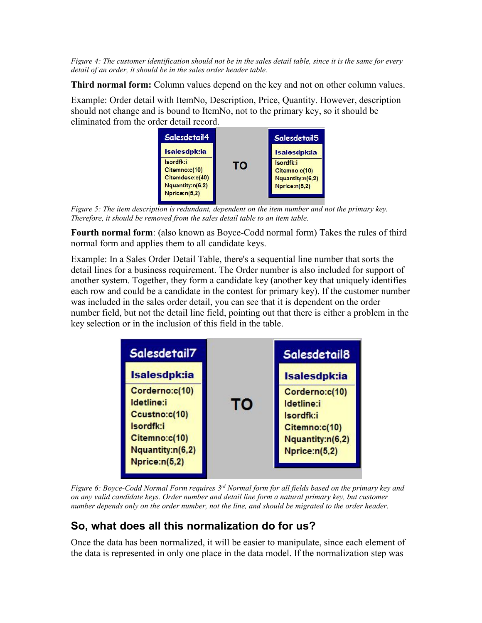*Figure 4: The customer identification should not be in the sales detail table, since it is the same for every detail of an order, it should be in the sales order header table.* 

**Third normal form:** Column values depend on the key and not on other column values.

Example: Order detail with ItemNo, Description, Price, Quantity. However, description should not change and is bound to ItemNo, not to the primary key, so it should be eliminated from the order detail record.



*Figure 5: The item description is redundant, dependent on the item number and not the primary key. Therefore, it should be removed from the sales detail table to an item table.*

**Fourth normal form**: (also known as Boyce-Codd normal form) Takes the rules of third normal form and applies them to all candidate keys.

Example: In a Sales Order Detail Table, there's a sequential line number that sorts the detail lines for a business requirement. The Order number is also included for support of another system. Together, they form a candidate key (another key that uniquely identifies each row and could be a candidate in the contest for primary key). If the customer number was included in the sales order detail, you can see that it is dependent on the order number field, but not the detail line field, pointing out that there is either a problem in the key selection or in the inclusion of this field in the table.



*Figure 6: Boyce-Codd Normal Form requires 3 rd Normal form for all fields based on the primary key and on any valid candidate keys. Order number and detail line form a natural primary key, but customer number depends only on the order number, not the line, and should be migrated to the order header.*

### **So, what does all this normalization do for us?**

Once the data has been normalized, it will be easier to manipulate, since each element of the data is represented in only one place in the data model. If the normalization step was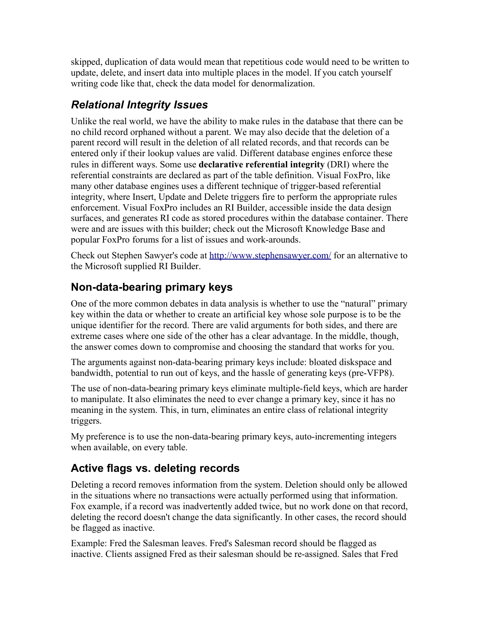skipped, duplication of data would mean that repetitious code would need to be written to update, delete, and insert data into multiple places in the model. If you catch yourself writing code like that, check the data model for denormalization.

### *Relational Integrity Issues*

Unlike the real world, we have the ability to make rules in the database that there can be no child record orphaned without a parent. We may also decide that the deletion of a parent record will result in the deletion of all related records, and that records can be entered only if their lookup values are valid. Different database engines enforce these rules in different ways. Some use **declarative referential integrity** (DRI) where the referential constraints are declared as part of the table definition. Visual FoxPro, like many other database engines uses a different technique of trigger-based referential integrity, where Insert, Update and Delete triggers fire to perform the appropriate rules enforcement. Visual FoxPro includes an RI Builder, accessible inside the data design surfaces, and generates RI code as stored procedures within the database container. There were and are issues with this builder; check out the Microsoft Knowledge Base and popular FoxPro forums for a list of issues and work-arounds.

Check out Stephen Sawyer's code at http://www.stephensawyer.com/ for an alternative to the Microsoft supplied RI Builder.

### **Non-data-bearing primary keys**

One of the more common debates in data analysis is whether to use the "natural" primary key within the data or whether to create an artificial key whose sole purpose is to be the unique identifier for the record. There are valid arguments for both sides, and there are extreme cases where one side of the other has a clear advantage. In the middle, though, the answer comes down to compromise and choosing the standard that works for you.

The arguments against non-data-bearing primary keys include: bloated diskspace and bandwidth, potential to run out of keys, and the hassle of generating keys (pre-VFP8).

The use of non-data-bearing primary keys eliminate multiple-field keys, which are harder to manipulate. It also eliminates the need to ever change a primary key, since it has no meaning in the system. This, in turn, eliminates an entire class of relational integrity triggers.

My preference is to use the non-data-bearing primary keys, auto-incrementing integers when available, on every table.

### **Active flags vs. deleting records**

Deleting a record removes information from the system. Deletion should only be allowed in the situations where no transactions were actually performed using that information. Fox example, if a record was inadvertently added twice, but no work done on that record, deleting the record doesn't change the data significantly. In other cases, the record should be flagged as inactive.

Example: Fred the Salesman leaves. Fred's Salesman record should be flagged as inactive. Clients assigned Fred as their salesman should be re-assigned. Sales that Fred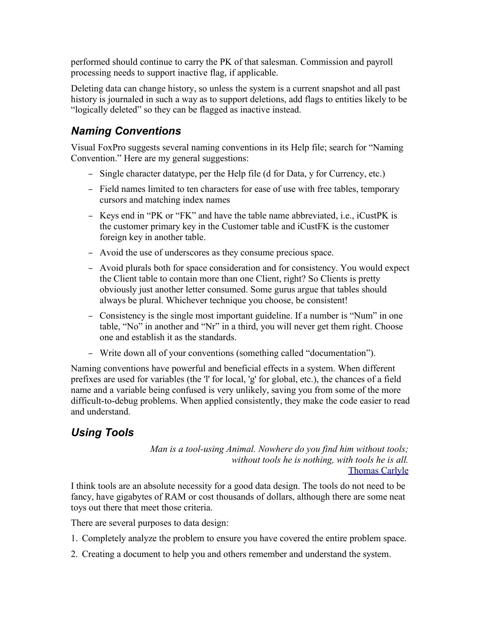performed should continue to carry the PK of that salesman. Commission and payroll processing needs to support inactive flag, if applicable.

Deleting data can change history, so unless the system is a current snapshot and all past history is journaled in such a way as to support deletions, add flags to entities likely to be "logically deleted" so they can be flagged as inactive instead.

#### *Naming Conventions*

Visual FoxPro suggests several naming conventions in its Help file; search for "Naming Convention." Here are my general suggestions:

- Single character datatype, per the Help file (d for Data, y for Currency, etc.)
- Field names limited to ten characters for ease of use with free tables, temporary cursors and matching index names
- Keys end in "PK or "FK" and have the table name abbreviated, i.e., iCustPK is the customer primary key in the Customer table and iCustFK is the customer foreign key in another table.
- Avoid the use of underscores as they consume precious space.
- Avoid plurals both for space consideration and for consistency. You would expect the Client table to contain more than one Client, right? So Clients is pretty obviously just another letter consumed. Some gurus argue that tables should always be plural. Whichever technique you choose, be consistent!
- Consistency is the single most important guideline. If a number is "Num" in one table, "No" in another and "Nr" in a third, you will never get them right. Choose one and establish it as the standards.
- Write down all of your conventions (something called "documentation").

Naming conventions have powerful and beneficial effects in a system. When different prefixes are used for variables (the 'l' for local, 'g' for global, etc.), the chances of a field name and a variable being confused is very unlikely, saving you from some of the more difficult-to-debug problems. When applied consistently, they make the code easier to read and understand.

### *Using Tools*

*Man is a tool-using Animal. Nowhere do you find him without tools; without tools he is nothing, with tools he is all.* Thomas Carlyle

I think tools are an absolute necessity for a good data design. The tools do not need to be fancy, have gigabytes of RAM or cost thousands of dollars, although there are some neat toys out there that meet those criteria.

There are several purposes to data design:

- 1. Completely analyze the problem to ensure you have covered the entire problem space.
- 2. Creating a document to help you and others remember and understand the system.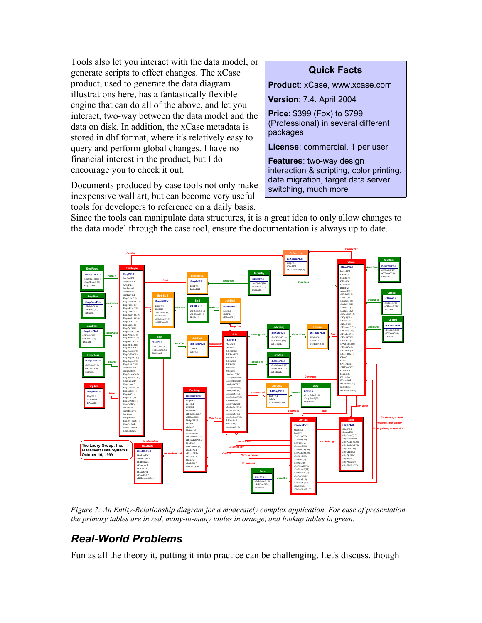Tools also let you interact with the data model, or generate scripts to effect changes. The xCase product, used to generate the data diagram illustrations here, has a fantastically flexible engine that can do all of the above, and let you interact, two-way between the data model and the data on disk. In addition, the xCase metadata is stored in dbf format, where it's relatively easy to query and perform global changes. I have no financial interest in the product, but I do encourage you to check it out.

Documents produced by case tools not only make inexpensive wall art, but can become very useful tools for developers to reference on a daily basis.

#### **Quick Facts**

**Product**: xCase, www.xcase.com

**Version**: 7.4, April 2004

**Price**: \$399 (Fox) to \$799 (Professional) in several different packages

**License**: commercial, 1 per user

**Features**: two-way design interaction & scripting, color printing, data migration, target data server switching, much more

Since the tools can manipulate data structures, it is a great idea to only allow changes to the data model through the case tool, ensure the documentation is always up to date.



*Figure 7: An Entity-Relationship diagram for a moderately complex application. For ease of presentation, the primary tables are in red, many-to-many tables in orange, and lookup tables in green.*

#### *Real-World Problems*

Fun as all the theory it, putting it into practice can be challenging. Let's discuss, though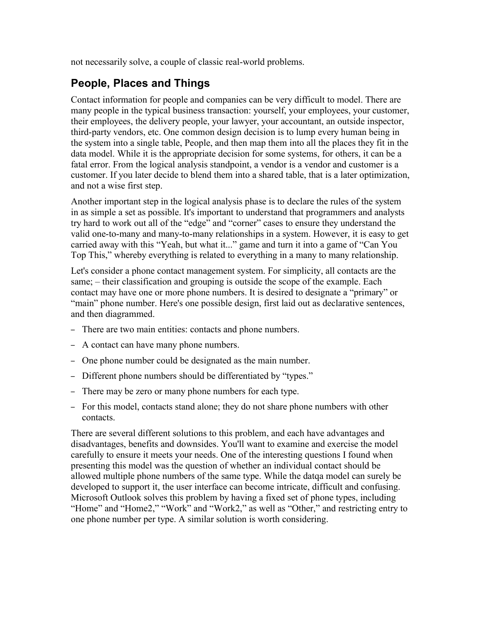not necessarily solve, a couple of classic real-world problems.

#### **People, Places and Things**

Contact information for people and companies can be very difficult to model. There are many people in the typical business transaction: yourself, your employees, your customer, their employees, the delivery people, your lawyer, your accountant, an outside inspector, third-party vendors, etc. One common design decision is to lump every human being in the system into a single table, People, and then map them into all the places they fit in the data model. While it is the appropriate decision for some systems, for others, it can be a fatal error. From the logical analysis standpoint, a vendor is a vendor and customer is a customer. If you later decide to blend them into a shared table, that is a later optimization, and not a wise first step.

Another important step in the logical analysis phase is to declare the rules of the system in as simple a set as possible. It's important to understand that programmers and analysts try hard to work out all of the "edge" and "corner" cases to ensure they understand the valid one-to-many and many-to-many relationships in a system. However, it is easy to get carried away with this "Yeah, but what it..." game and turn it into a game of "Can You Top This," whereby everything is related to everything in a many to many relationship.

Let's consider a phone contact management system. For simplicity, all contacts are the same; – their classification and grouping is outside the scope of the example. Each contact may have one or more phone numbers. It is desired to designate a "primary" or "main" phone number. Here's one possible design, first laid out as declarative sentences, and then diagrammed.

- There are two main entities: contacts and phone numbers.
- A contact can have many phone numbers.
- One phone number could be designated as the main number.
- Different phone numbers should be differentiated by "types."
- There may be zero or many phone numbers for each type.
- For this model, contacts stand alone; they do not share phone numbers with other contacts.

There are several different solutions to this problem, and each have advantages and disadvantages, benefits and downsides. You'll want to examine and exercise the model carefully to ensure it meets your needs. One of the interesting questions I found when presenting this model was the question of whether an individual contact should be allowed multiple phone numbers of the same type. While the datqa model can surely be developed to support it, the user interface can become intricate, difficult and confusing. Microsoft Outlook solves this problem by having a fixed set of phone types, including "Home" and "Home2," "Work" and "Work2," as well as "Other," and restricting entry to one phone number per type. A similar solution is worth considering.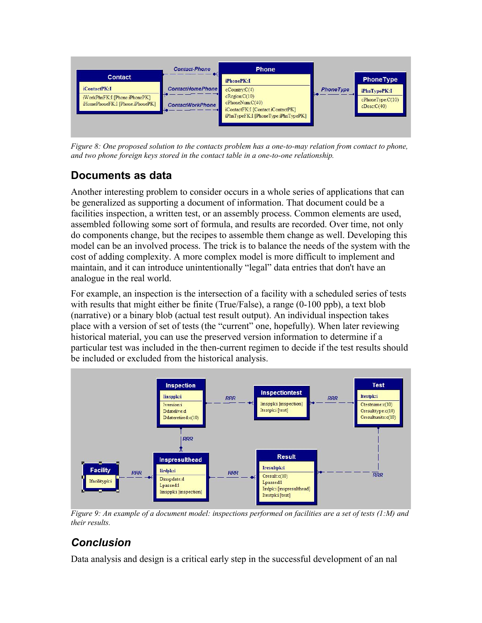

*Figure 8: One proposed solution to the contacts problem has a one-to-may relation from contact to phone, and two phone foreign keys stored in the contact table in a one-to-one relationship.*

#### **Documents as data**

Another interesting problem to consider occurs in a whole series of applications that can be generalized as supporting a document of information. That document could be a facilities inspection, a written test, or an assembly process. Common elements are used, assembled following some sort of formula, and results are recorded. Over time, not only do components change, but the recipes to assemble them change as well. Developing this model can be an involved process. The trick is to balance the needs of the system with the cost of adding complexity. A more complex model is more difficult to implement and maintain, and it can introduce unintentionally "legal" data entries that don't have an analogue in the real world.

For example, an inspection is the intersection of a facility with a scheduled series of tests with results that might either be finite (True/False), a range (0-100 ppb), a text blob (narrative) or a binary blob (actual test result output). An individual inspection takes place with a version of set of tests (the "current" one, hopefully). When later reviewing historical material, you can use the preserved version information to determine if a particular test was included in the then-current regimen to decide if the test results should be included or excluded from the historical analysis.



*Figure 9: An example of a document model: inspections performed on facilities are a set of tests (1:M) and their results.*

## *Conclusion*

Data analysis and design is a critical early step in the successful development of an nal